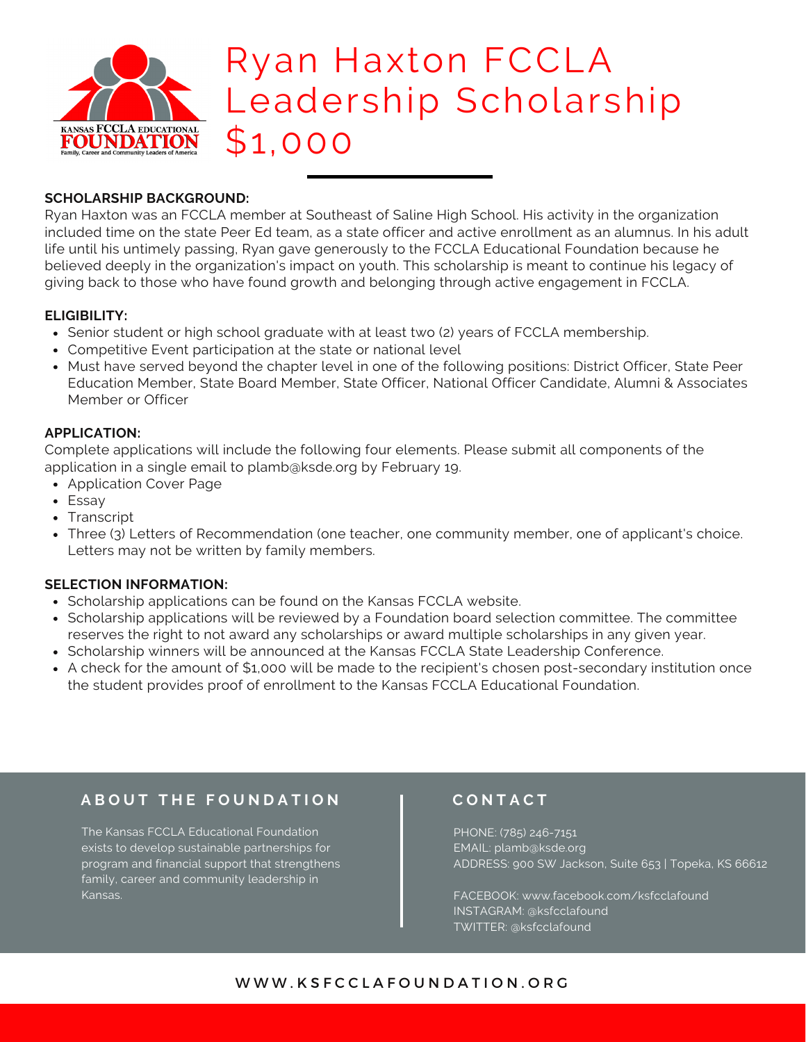

## Ryan Haxton FCCLA Leadership Scholarship \$1,000

## **SCHOLARSHIP BACKGROUND:**

Ryan Haxton was an FCCLA member at Southeast of Saline High School. His activity in the organization included time on the state Peer Ed team, as a state officer and active enrollment as an alumnus. In his adult life until his untimely passing, Ryan gave generously to the FCCLA Educational Foundation because he believed deeply in the organization's impact on youth. This scholarship is meant to continue his legacy of giving back to those who have found growth and belonging through active engagement in FCCLA.

### **ELIGIBILITY:**

- Senior student or high school graduate with at least two (2) years of FCCLA membership.
- Competitive Event participation at the state or national level
- Must have served beyond the chapter level in one of the following positions: District Officer, State Peer Education Member, State Board Member, State Officer, National Officer Candidate, Alumni & Associates Member or Officer

### **APPLICATION:**

Complete applications will include the following four elements. Please submit all components of the application in a single email to plamb@ksde.org by February 19.

- Application Cover Page
- Essay
- Transcript
- Three (3) Letters of Recommendation (one teacher, one community member, one of applicant's choice. Letters may not be written by family members.

#### **SELECTION INFORMATION:**

- Scholarship applications can be found on the Kansas FCCLA website.
- Scholarship applications will be reviewed by a Foundation board selection committee. The committee reserves the right to not award any scholarships or award multiple scholarships in any given year.
- Scholarship winners will be announced at the Kansas FCCLA State Leadership Conference.
- A check for the amount of \$1,000 will be made to the recipient's chosen post-secondary institution once the student provides proof of enrollment to the Kansas FCCLA Educational Foundation.

## **A B O U T T H E F O U N D A T I O N**

The Kansas FCCLA Educational Foundation exists to develop sustainable partnerships for program and financial support that strengthens family, career and community leadership in Kansas.

## **C O N T A C T**

PHONE: (785) 246-7151 EMAIL: plamb@ksde.org ADDRESS: 900 SW Jackson, Suite 653 | Topeka, KS 66612

FACEBOOK: www.facebook.com/ksfcclafound INSTAGRAM: @ksfcclafound TWITTER: @ksfcclafound